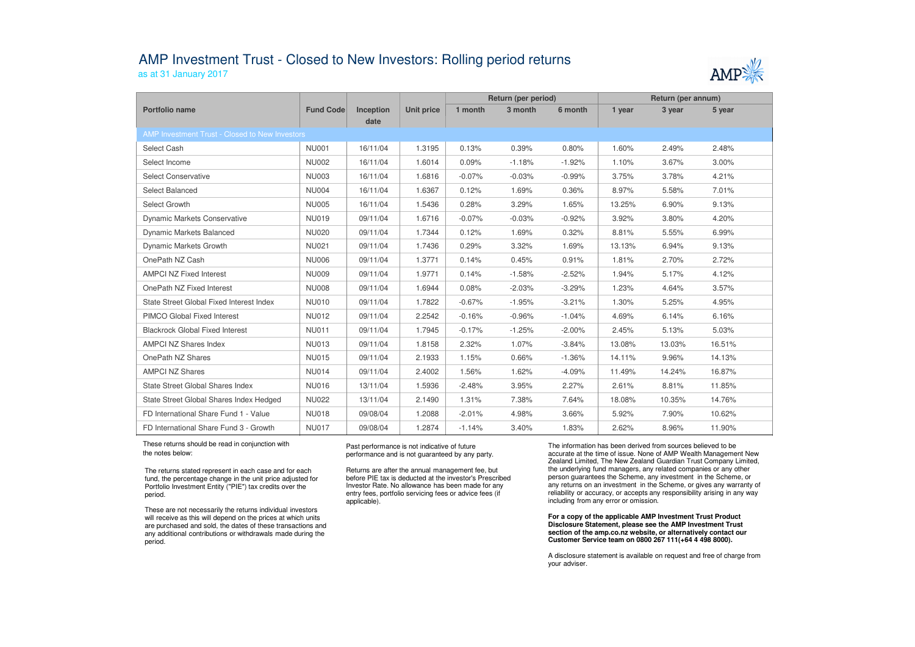## AMP Investment Trust - Closed to New Investors: Rolling period returns

as at 31 January 2017



|                                                |                  |           |                   | Return (per period) |          |          | Return (per annum) |        |        |  |  |  |
|------------------------------------------------|------------------|-----------|-------------------|---------------------|----------|----------|--------------------|--------|--------|--|--|--|
| Portfolio name                                 | <b>Fund Code</b> | Inception | <b>Unit price</b> | 1 month             | 3 month  | 6 month  | 1 year             | 3 year | 5 year |  |  |  |
|                                                |                  | date      |                   |                     |          |          |                    |        |        |  |  |  |
| AMP Investment Trust - Closed to New Investors |                  |           |                   |                     |          |          |                    |        |        |  |  |  |
| Select Cash                                    | <b>NU001</b>     | 16/11/04  | 1.3195            | 0.13%               | 0.39%    | 0.80%    | 1.60%              | 2.49%  | 2.48%  |  |  |  |
| Select Income                                  | <b>NU002</b>     | 16/11/04  | 1.6014            | 0.09%               | $-1.18%$ | $-1.92%$ | 1.10%              | 3.67%  | 3.00%  |  |  |  |
| Select Conservative                            | <b>NU003</b>     | 16/11/04  | 1.6816            | $-0.07%$            | $-0.03%$ | $-0.99%$ | 3.75%              | 3.78%  | 4.21%  |  |  |  |
| Select Balanced                                | <b>NU004</b>     | 16/11/04  | 1.6367            | 0.12%               | 1.69%    | 0.36%    | 8.97%              | 5.58%  | 7.01%  |  |  |  |
| Select Growth                                  | <b>NU005</b>     | 16/11/04  | 1.5436            | 0.28%               | 3.29%    | 1.65%    | 13.25%             | 6.90%  | 9.13%  |  |  |  |
| <b>Dynamic Markets Conservative</b>            | <b>NU019</b>     | 09/11/04  | 1.6716            | $-0.07%$            | $-0.03%$ | $-0.92%$ | 3.92%              | 3.80%  | 4.20%  |  |  |  |
| Dynamic Markets Balanced                       | <b>NU020</b>     | 09/11/04  | 1.7344            | 0.12%               | 1.69%    | 0.32%    | 8.81%              | 5.55%  | 6.99%  |  |  |  |
| Dynamic Markets Growth                         | <b>NU021</b>     | 09/11/04  | 1.7436            | 0.29%               | 3.32%    | 1.69%    | 13.13%             | 6.94%  | 9.13%  |  |  |  |
| OnePath NZ Cash                                | <b>NU006</b>     | 09/11/04  | 1.3771            | 0.14%               | 0.45%    | 0.91%    | 1.81%              | 2.70%  | 2.72%  |  |  |  |
| <b>AMPCI NZ Fixed Interest</b>                 | <b>NU009</b>     | 09/11/04  | 1.9771            | 0.14%               | $-1.58%$ | $-2.52%$ | 1.94%              | 5.17%  | 4.12%  |  |  |  |
| OnePath NZ Fixed Interest                      | <b>NU008</b>     | 09/11/04  | 1.6944            | 0.08%               | $-2.03%$ | $-3.29%$ | 1.23%              | 4.64%  | 3.57%  |  |  |  |
| State Street Global Fixed Interest Index       | <b>NU010</b>     | 09/11/04  | 1.7822            | $-0.67%$            | $-1.95%$ | $-3.21%$ | 1.30%              | 5.25%  | 4.95%  |  |  |  |
| <b>PIMCO Global Fixed Interest</b>             | <b>NU012</b>     | 09/11/04  | 2.2542            | $-0.16%$            | $-0.96%$ | $-1.04%$ | 4.69%              | 6.14%  | 6.16%  |  |  |  |
| <b>Blackrock Global Fixed Interest</b>         | <b>NU011</b>     | 09/11/04  | 1.7945            | $-0.17%$            | $-1.25%$ | $-2.00%$ | 2.45%              | 5.13%  | 5.03%  |  |  |  |
| <b>AMPCI NZ Shares Index</b>                   | <b>NU013</b>     | 09/11/04  | 1.8158            | 2.32%               | 1.07%    | $-3.84%$ | 13.08%             | 13.03% | 16.51% |  |  |  |
| OnePath NZ Shares                              | <b>NU015</b>     | 09/11/04  | 2.1933            | 1.15%               | 0.66%    | $-1.36%$ | 14.11%             | 9.96%  | 14.13% |  |  |  |
| <b>AMPCI NZ Shares</b>                         | <b>NU014</b>     | 09/11/04  | 2.4002            | 1.56%               | 1.62%    | $-4.09%$ | 11.49%             | 14.24% | 16.87% |  |  |  |
| State Street Global Shares Index               | <b>NU016</b>     | 13/11/04  | 1.5936            | $-2.48%$            | 3.95%    | 2.27%    | 2.61%              | 8.81%  | 11.85% |  |  |  |
| State Street Global Shares Index Hedged        | <b>NU022</b>     | 13/11/04  | 2.1490            | 1.31%               | 7.38%    | 7.64%    | 18.08%             | 10.35% | 14.76% |  |  |  |
| FD International Share Fund 1 - Value          | <b>NU018</b>     | 09/08/04  | 1.2088            | $-2.01%$            | 4.98%    | 3.66%    | 5.92%              | 7.90%  | 10.62% |  |  |  |
| FD International Share Fund 3 - Growth         | <b>NU017</b>     | 09/08/04  | 1.2874            | $-1.14%$            | 3.40%    | 1.83%    | 2.62%              | 8.96%  | 11.90% |  |  |  |

 These returns should be read in conjunction with the notes below:

The returns stated represent in each case and for each fund, the percentage change in the unit price adjusted for Portfolio Investment Entity ("PIE") tax credits over the period.

These are not necessarily the returns individual investors will receive as this will depend on the prices at which units are purchased and sold, the dates of these transactions and any additional contributions or withdrawals made during the period.

Past performance is not indicative of future performance and is not guaranteed by any party.

Returns are after the annual management fee, but before PIE tax is deducted at the investor's Prescribed Investor Rate. No allowance has been made for any entry fees, portfolio servicing fees or advice fees (if applicable).

The information has been derived from sources believed to be accurate at the time of issue. None of AMP Wealth Management New Zealand Limited, The New Zealand Guardian Trust Company Limited, the underlying fund managers, any related companies or any other person guarantees the Scheme, any investment in the Scheme, or any returns on an investment in the Scheme, or gives any warranty of reliability or accuracy, or accepts any responsibility arising in any way including from any error or omission.

**For a copy of the applicable AMP Investment Trust Product Disclosure Statement, please see the AMP Investment Trust section of the amp.co.nz website, or alternatively contact our Customer Service team on 0800 267 111(+64 4 498 8000).**

A disclosure statement is available on request and free of charge from your adviser.